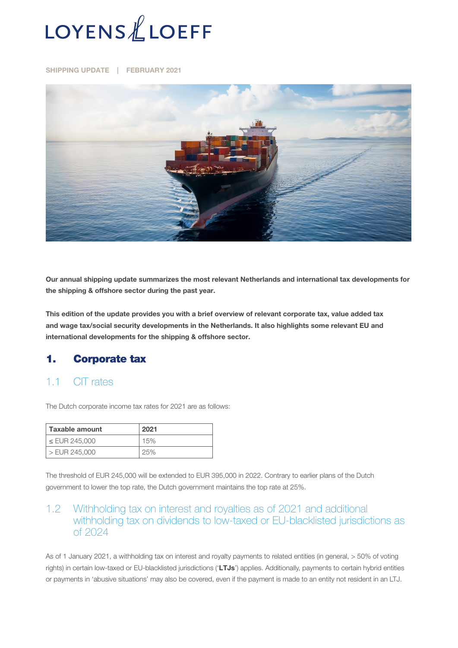

SHIPPING UPDATE | FEBRUARY 2021



Our annual shipping update summarizes the most relevant Netherlands and international tax developments for the shipping & offshore sector during the past year.

This edition of the update provides you with a brief overview of relevant corporate tax, value added tax and wage tax/social security developments in the Netherlands. It also highlights some relevant EU and international developments for the shipping & offshore sector.

#### 1. Corporate tax

#### 1.1 CIT rates

The Dutch corporate income tax rates for 2021 are as follows:

| Taxable amount     | 2021 |
|--------------------|------|
| $\leq$ EUR 245,000 | 15%  |
| $>$ EUR 245,000    | 25%  |

The threshold of EUR 245,000 will be extended to EUR 395,000 in 2022. Contrary to earlier plans of the Dutch government to lower the top rate, the Dutch government maintains the top rate at 25%.

#### 1.2 Withholding tax on interest and royalties as of 2021 and additional withholding tax on dividends to low-taxed or EU-blacklisted jurisdictions as of 2024

As of 1 January 2021, a withholding tax on interest and royalty payments to related entities (in general, > 50% of voting rights) in certain low-taxed or EU-blacklisted jurisdictions ('LTJs') applies. Additionally, payments to certain hybrid entities or payments in 'abusive situations' may also be covered, even if the payment is made to an entity not resident in an LTJ.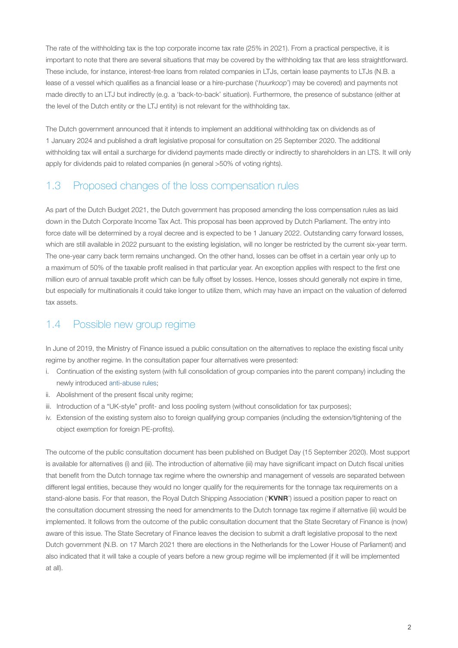The rate of the withholding tax is the top corporate income tax rate (25% in 2021). From a practical perspective, it is important to note that there are several situations that may be covered by the withholding tax that are less straightforward. These include, for instance, interest-free loans from related companies in LTJs, certain lease payments to LTJs (N.B. a lease of a vessel which qualifies as a financial lease or a hire-purchase ('*huurkoop*') may be covered) and payments not made directly to an LTJ but indirectly (e.g. a 'back-to-back' situation). Furthermore, the presence of substance (either at the level of the Dutch entity or the LTJ entity) is not relevant for the withholding tax.

The Dutch government announced that it intends to implement an additional withholding tax on dividends as of 1 January 2024 and published a draft legislative proposal for consultation on 25 September 2020. The additional withholding tax will entail a surcharge for dividend payments made directly or indirectly to shareholders in an LTS. It will only apply for dividends paid to related companies (in general >50% of voting rights).

## 1.3 Proposed changes of the loss compensation rules

As part of the Dutch Budget 2021, the Dutch government has proposed amending the loss compensation rules as laid down in the Dutch Corporate Income Tax Act. This proposal has been approved by Dutch Parliament. The entry into force date will be determined by a royal decree and is expected to be 1 January 2022. Outstanding carry forward losses, which are still available in 2022 pursuant to the existing legislation, will no longer be restricted by the current six-year term. The one-year carry back term remains unchanged. On the other hand, losses can be offset in a certain year only up to a maximum of 50% of the taxable profit realised in that particular year. An exception applies with respect to the first one million euro of annual taxable profit which can be fully offset by losses. Hence, losses should generally not expire in time, but especially for multinationals it could take longer to utilize them, which may have an impact on the valuation of deferred tax assets.

### 1.4 Possible new group regime

In June of 2019, the Ministry of Finance issued a public consultation on the alternatives to replace the existing fiscal unity regime by another regime. In the consultation paper four alternatives were presented:

- i. Continuation of the existing system (with full consolidation of group companies into the parent company) including the newly introduced [anti-abuse rules;](https://www.loyensloeff.com/en/en/news/news-articles/dutch-parliament-approves-bill-to-change-the-dutch-tax-consolidation-regime/-n6991/)
- ii. Abolishment of the present fiscal unity regime;
- iii. Introduction of a "UK-style" profit- and loss pooling system (without consolidation for tax purposes);
- iv. Extension of the existing system also to foreign qualifying group companies (including the extension/tightening of the object exemption for foreign PE-profits).

The outcome of the public consultation document has been published on Budget Day (15 September 2020). Most support is available for alternatives (i) and (iii). The introduction of alternative (iii) may have significant impact on Dutch fiscal unities that benefit from the Dutch tonnage tax regime where the ownership and management of vessels are separated between different legal entities, because they would no longer qualify for the requirements for the tonnage tax requirements on a stand-alone basis. For that reason, the Royal Dutch Shipping Association ('KVNR') issued a position paper to react on the consultation document stressing the need for amendments to the Dutch tonnage tax regime if alternative (iii) would be implemented. It follows from the outcome of the public consultation document that the State Secretary of Finance is (now) aware of this issue. The State Secretary of Finance leaves the decision to submit a draft legislative proposal to the next Dutch government (N.B. on 17 March 2021 there are elections in the Netherlands for the Lower House of Parliament) and also indicated that it will take a couple of years before a new group regime will be implemented (if it will be implemented at all).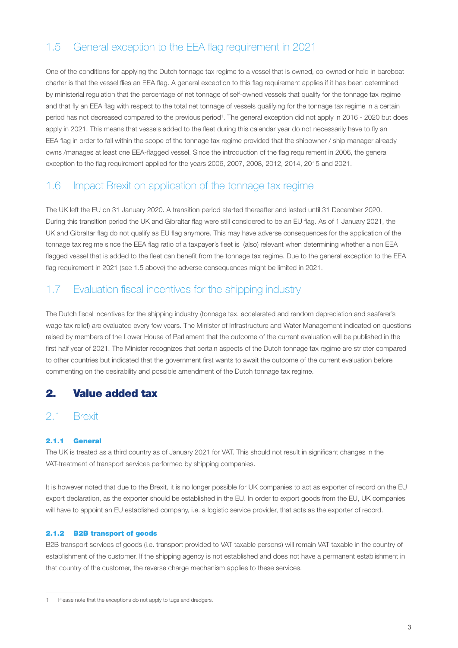# 1.5 General exception to the EEA flag requirement in 2021

One of the conditions for applying the Dutch tonnage tax regime to a vessel that is owned, co-owned or held in bareboat charter is that the vessel flies an EEA flag. A general exception to this flag requirement applies if it has been determined by ministerial regulation that the percentage of net tonnage of self-owned vessels that qualify for the tonnage tax regime and that fly an EEA flag with respect to the total net tonnage of vessels qualifying for the tonnage tax regime in a certain period has not decreased compared to the previous period<sup>1</sup>. The general exception did not apply in 2016 - 2020 but does apply in 2021. This means that vessels added to the fleet during this calendar year do not necessarily have to fly an EEA flag in order to fall within the scope of the tonnage tax regime provided that the shipowner / ship manager already owns /manages at least one EEA-flagged vessel. Since the introduction of the flag requirement in 2006, the general exception to the flag requirement applied for the years 2006, 2007, 2008, 2012, 2014, 2015 and 2021.

### 1.6 Impact Brexit on application of the tonnage tax regime

The UK left the EU on 31 January 2020. A transition period started thereafter and lasted until 31 December 2020. During this transition period the UK and Gibraltar flag were still considered to be an EU flag. As of 1 January 2021, the UK and Gibraltar flag do not qualify as EU flag anymore. This may have adverse consequences for the application of the tonnage tax regime since the EEA flag ratio of a taxpayer's fleet is (also) relevant when determining whether a non EEA flagged vessel that is added to the fleet can benefit from the tonnage tax regime. Due to the general exception to the EEA flag requirement in 2021 (see 1.5 above) the adverse consequences might be limited in 2021.

### 1.7 Evaluation fiscal incentives for the shipping industry

The Dutch fiscal incentives for the shipping industry (tonnage tax, accelerated and random depreciation and seafarer's wage tax relief) are evaluated every few years. The Minister of Infrastructure and Water Management indicated on questions raised by members of the Lower House of Parliament that the outcome of the current evaluation will be published in the first half year of 2021. The Minister recognizes that certain aspects of the Dutch tonnage tax regime are stricter compared to other countries but indicated that the government first wants to await the outcome of the current evaluation before commenting on the desirability and possible amendment of the Dutch tonnage tax regime.

### 2. Value added tax

#### 2.1 Brexit

#### 2.1.1 General

The UK is treated as a third country as of January 2021 for VAT. This should not result in significant changes in the VAT-treatment of transport services performed by shipping companies.

It is however noted that due to the Brexit, it is no longer possible for UK companies to act as exporter of record on the EU export declaration, as the exporter should be established in the EU. In order to export goods from the EU, UK companies will have to appoint an EU established company, i.e. a logistic service provider, that acts as the exporter of record.

#### 2.1.2 B2B transport of goods

B2B transport services of goods (i.e. transport provided to VAT taxable persons) will remain VAT taxable in the country of establishment of the customer. If the shipping agency is not established and does not have a permanent establishment in that country of the customer, the reverse charge mechanism applies to these services.

Please note that the exceptions do not apply to tugs and dredgers.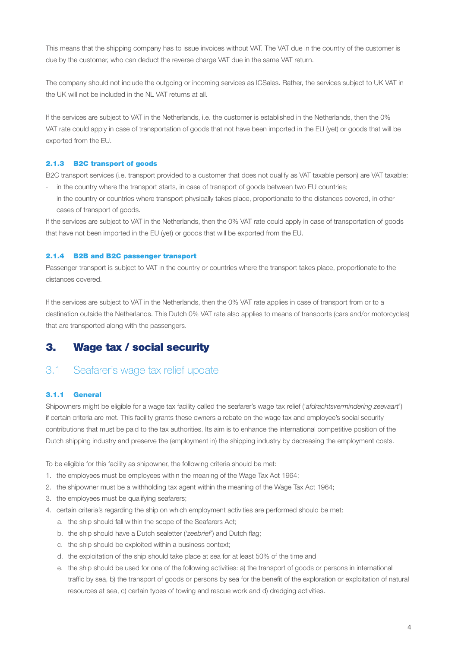This means that the shipping company has to issue invoices without VAT. The VAT due in the country of the customer is due by the customer, who can deduct the reverse charge VAT due in the same VAT return.

The company should not include the outgoing or incoming services as ICSales. Rather, the services subject to UK VAT in the UK will not be included in the NL VAT returns at all.

If the services are subject to VAT in the Netherlands, i.e. the customer is established in the Netherlands, then the 0% VAT rate could apply in case of transportation of goods that not have been imported in the EU (yet) or goods that will be exported from the EU.

#### 2.1.3 B2C transport of goods

B2C transport services (i.e. transport provided to a customer that does not qualify as VAT taxable person) are VAT taxable:

- in the country where the transport starts, in case of transport of goods between two EU countries;
- in the country or countries where transport physically takes place, proportionate to the distances covered, in other cases of transport of goods.

If the services are subject to VAT in the Netherlands, then the 0% VAT rate could apply in case of transportation of goods that have not been imported in the EU (yet) or goods that will be exported from the EU.

#### 2.1.4 B2B and B2C passenger transport

Passenger transport is subject to VAT in the country or countries where the transport takes place, proportionate to the distances covered.

If the services are subject to VAT in the Netherlands, then the 0% VAT rate applies in case of transport from or to a destination outside the Netherlands. This Dutch 0% VAT rate also applies to means of transports (cars and/or motorcycles) that are transported along with the passengers.

### 3. Wage tax / social security

#### 3.1 Seafarer's wage tax relief update

#### 3.1.1 General

Shipowners might be eligible for a wage tax facility called the seafarer's wage tax relief ('*afdrachtsvermindering zeevaart*') if certain criteria are met. This facility grants these owners a rebate on the wage tax and employee's social security contributions that must be paid to the tax authorities. Its aim is to enhance the international competitive position of the Dutch shipping industry and preserve the (employment in) the shipping industry by decreasing the employment costs.

To be eligible for this facility as shipowner, the following criteria should be met:

- 1. the employees must be employees within the meaning of the Wage Tax Act 1964;
- 2. the shipowner must be a withholding tax agent within the meaning of the Wage Tax Act 1964;
- 3. the employees must be qualifying seafarers;
- 4. certain criteria's regarding the ship on which employment activities are performed should be met:
	- a. the ship should fall within the scope of the Seafarers Act;
	- b. the ship should have a Dutch sealetter ('*zeebrief*') and Dutch flag;
	- c. the ship should be exploited within a business context;
	- d. the exploitation of the ship should take place at sea for at least 50% of the time and
	- e. the ship should be used for one of the following activities: a) the transport of goods or persons in international traffic by sea, b) the transport of goods or persons by sea for the benefit of the exploration or exploitation of natural resources at sea, c) certain types of towing and rescue work and d) dredging activities.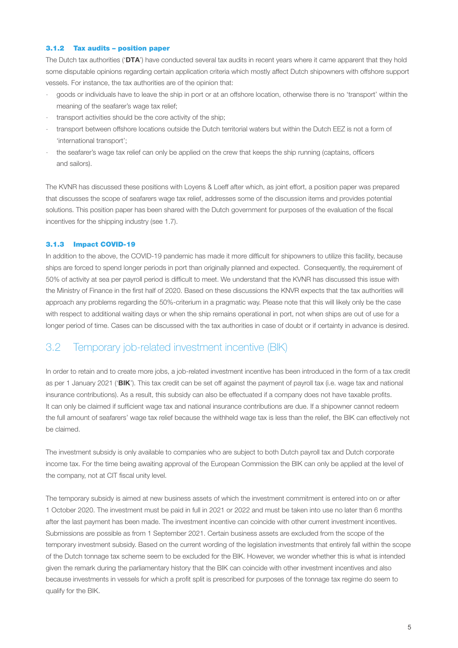#### 3.1.2 Tax audits – position paper

The Dutch tax authorities ('DTA') have conducted several tax audits in recent years where it came apparent that they hold some disputable opinions regarding certain application criteria which mostly affect Dutch shipowners with offshore support vessels. For instance, the tax authorities are of the opinion that:

- goods or individuals have to leave the ship in port or at an offshore location, otherwise there is no 'transport' within the meaning of the seafarer's wage tax relief;
- transport activities should be the core activity of the ship;
- transport between offshore locations outside the Dutch territorial waters but within the Dutch EEZ is not a form of 'international transport';
- the seafarer's wage tax relief can only be applied on the crew that keeps the ship running (captains, officers and sailors).

The KVNR has discussed these positions with Loyens & Loeff after which, as joint effort, a position paper was prepared that discusses the scope of seafarers wage tax relief, addresses some of the discussion items and provides potential solutions. This position paper has been shared with the Dutch government for purposes of the evaluation of the fiscal incentives for the shipping industry (see 1.7).

#### 3.1.3 Impact COVID-19

In addition to the above, the COVID-19 pandemic has made it more difficult for shipowners to utilize this facility, because ships are forced to spend longer periods in port than originally planned and expected. Consequently, the requirement of 50% of activity at sea per payroll period is difficult to meet. We understand that the KVNR has discussed this issue with the Ministry of Finance in the first half of 2020. Based on these discussions the KNVR expects that the tax authorities will approach any problems regarding the 50%-criterium in a pragmatic way. Please note that this will likely only be the case with respect to additional waiting days or when the ship remains operational in port, not when ships are out of use for a longer period of time. Cases can be discussed with the tax authorities in case of doubt or if certainty in advance is desired.

#### 3.2 Temporary job-related investment incentive (BIK)

In order to retain and to create more jobs, a job-related investment incentive has been introduced in the form of a tax credit as per 1 January 2021 ('BIK'). This tax credit can be set off against the payment of payroll tax (i.e. wage tax and national insurance contributions). As a result, this subsidy can also be effectuated if a company does not have taxable profits. It can only be claimed if sufficient wage tax and national insurance contributions are due. If a shipowner cannot redeem the full amount of seafarers' wage tax relief because the withheld wage tax is less than the relief, the BIK can effectively not be claimed.

The investment subsidy is only available to companies who are subject to both Dutch payroll tax and Dutch corporate income tax. For the time being awaiting approval of the European Commission the BIK can only be applied at the level of the company, not at CIT fiscal unity level.

The temporary subsidy is aimed at new business assets of which the investment commitment is entered into on or after 1 October 2020. The investment must be paid in full in 2021 or 2022 and must be taken into use no later than 6 months after the last payment has been made. The investment incentive can coincide with other current investment incentives. Submissions are possible as from 1 September 2021. Certain business assets are excluded from the scope of the temporary investment subsidy. Based on the current wording of the legislation investments that entirely fall within the scope of the Dutch tonnage tax scheme seem to be excluded for the BIK. However, we wonder whether this is what is intended given the remark during the parliamentary history that the BIK can coincide with other investment incentives and also because investments in vessels for which a profit split is prescribed for purposes of the tonnage tax regime do seem to qualify for the BIK.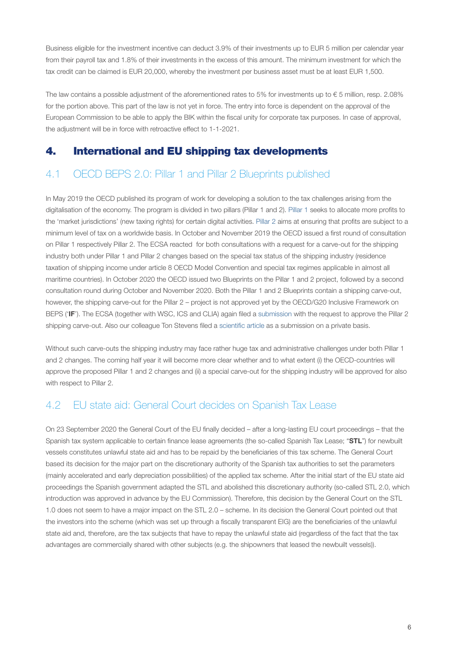Business eligible for the investment incentive can deduct 3.9% of their investments up to EUR 5 million per calendar year from their payroll tax and 1.8% of their investments in the excess of this amount. The minimum investment for which the tax credit can be claimed is EUR 20,000, whereby the investment per business asset must be at least EUR 1,500.

The law contains a possible adjustment of the aforementioned rates to 5% for investments up to  $\epsilon$  5 million, resp. 2.08% for the portion above. This part of the law is not yet in force. The entry into force is dependent on the approval of the European Commission to be able to apply the BIK within the fiscal unity for corporate tax purposes. In case of approval, the adjustment will be in force with retroactive effect to 1-1-2021.

### 4. International and EU shipping tax developments

## 4.1 OECD BEPS 2.0: Pillar 1 and Pillar 2 Blueprints published

In May 2019 the OECD published its program of work for developing a solution to the tax challenges arising from the digitalisation of the economy. The program is divided in two pillars (Pillar 1 and 2). [Pillar 1](https://www.loyensloeff.com/en/en/news/news-articles/oecd-heading-beyond-the-arm-s-length-principle-without-ring-fencing-the-digital-economy-n17077/) seeks to allocate more profits to the 'market jurisdictions' (new taxing rights) for certain digital activities. [Pillar 2](https://www.loyensloeff.com/en/en/news/news-articles/oecd-s-plans-for-global-minimum-taxation-the-next-steps-n17417/) aims at ensuring that profits are subject to a minimum level of tax on a worldwide basis. In October and November 2019 the OECD issued a first round of consultation on Pillar 1 respectively Pillar 2. The ECSA reacted for both consultations with a request for a carve-out for the shipping industry both under Pillar 1 and Pillar 2 changes based on the special tax status of the shipping industry (residence taxation of shipping income under article 8 OECD Model Convention and special tax regimes applicable in almost all maritime countries). In October 2020 the OECD issued two Blueprints on the Pillar 1 and 2 project, followed by a second consultation round during October and November 2020. Both the Pillar 1 and 2 Blueprints contain a shipping carve-out, however, the shipping carve-out for the Pillar 2 – project is not approved yet by the OECD/G20 Inclusive Framework on BEPS ('IF'). The ECSA (together with WSC, ICS and CLIA) again filed a [submission](https://www.loyensloeff.com/media/479344/ingediende-submissie-maritieme-sector-op-oecd-digital-tax-initiative.pdf) with the request to approve the Pillar 2 shipping carve-out. Also our colleague Ton Stevens filed a [scientific article](https://www.loyensloeff.com/media/479346/efs-30th-anniversary-contribution-shipping-carve-out-pillar-one-and-two.pdf) as a submission on a private basis.

Without such carve-outs the shipping industry may face rather huge tax and administrative challenges under both Pillar 1 and 2 changes. The coming half year it will become more clear whether and to what extent (i) the OECD-countries will approve the proposed Pillar 1 and 2 changes and (ii) a special carve-out for the shipping industry will be approved for also with respect to Pillar 2.

### 4.2 EU state aid: General Court decides on Spanish Tax Lease

On 23 September 2020 the General Court of the EU finally decided – after a long-lasting EU court proceedings – that the Spanish tax system applicable to certain finance lease agreements (the so-called Spanish Tax Lease; "STL") for newbuilt vessels constitutes unlawful state aid and has to be repaid by the beneficiaries of this tax scheme. The General Court based its decision for the major part on the discretionary authority of the Spanish tax authorities to set the parameters (mainly accelerated and early depreciation possibilities) of the applied tax scheme. After the initial start of the EU state aid proceedings the Spanish government adapted the STL and abolished this discretionary authority (so-called STL 2.0, which introduction was approved in advance by the EU Commission). Therefore, this decision by the General Court on the STL 1.0 does not seem to have a major impact on the STL 2.0 – scheme. In its decision the General Court pointed out that the investors into the scheme (which was set up through a fiscally transparent EIG) are the beneficiaries of the unlawful state aid and, therefore, are the tax subjects that have to repay the unlawful state aid (regardless of the fact that the tax advantages are commercially shared with other subjects (e.g. the shipowners that leased the newbuilt vessels)).